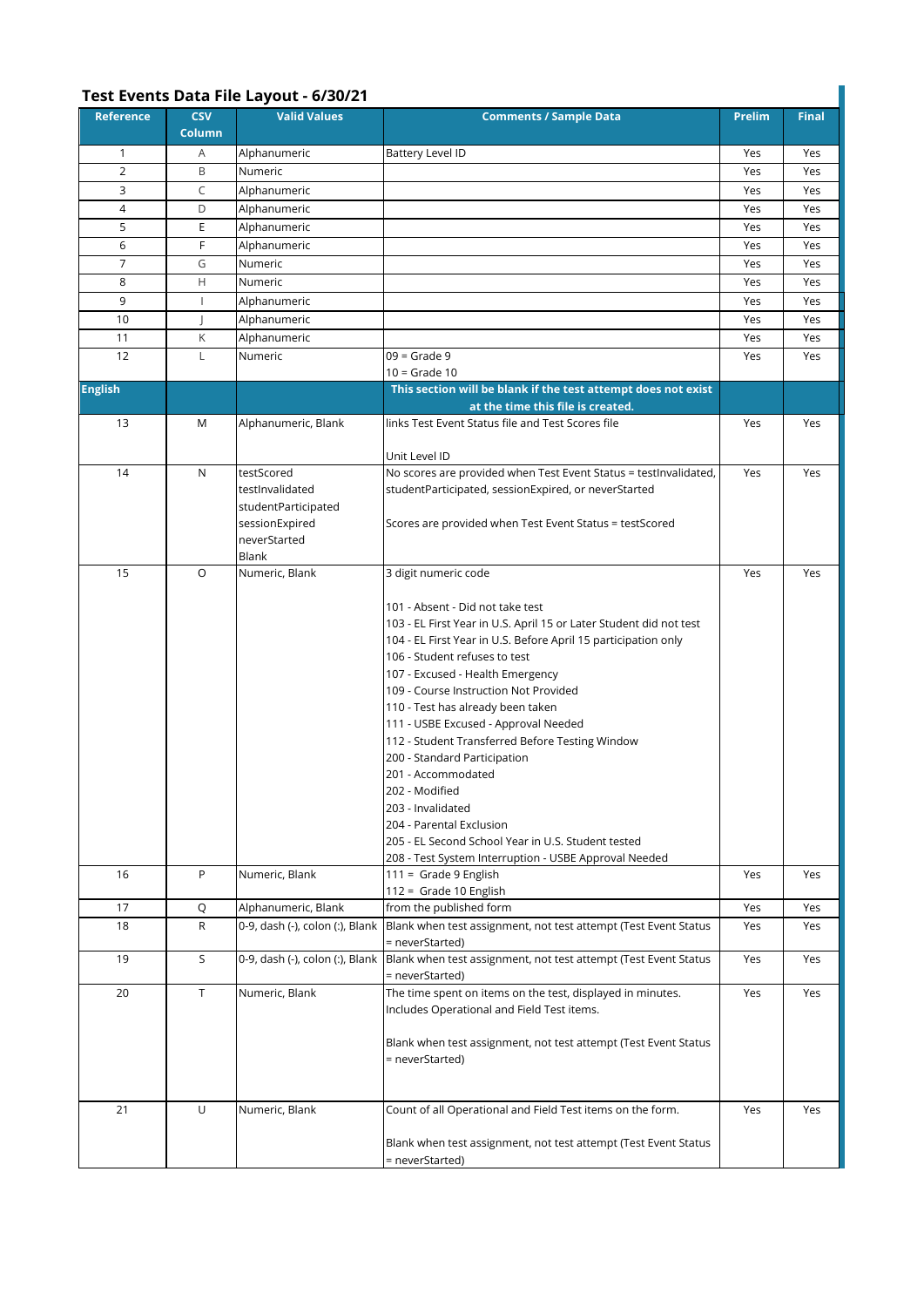## **Test Events Data File Layout - 6/30/21**

| Reference      | <b>CSV</b><br>Column | <b>Valid Values</b>             | <b>Comments / Sample Data</b>                                                                      | <b>Prelim</b> | <b>Final</b> |
|----------------|----------------------|---------------------------------|----------------------------------------------------------------------------------------------------|---------------|--------------|
| $\mathbf{1}$   | Α                    | Alphanumeric                    | Battery Level ID                                                                                   | Yes           | Yes          |
| $\overline{2}$ | B                    | Numeric                         |                                                                                                    | Yes           | Yes          |
| 3              | C                    | Alphanumeric                    |                                                                                                    | Yes           | Yes          |
| 4              | D                    | Alphanumeric                    |                                                                                                    | Yes           | Yes          |
| 5              | E                    | Alphanumeric                    |                                                                                                    | Yes           | Yes          |
| 6              | F                    | Alphanumeric                    |                                                                                                    | Yes           | Yes          |
| $\overline{7}$ | G                    | Numeric                         |                                                                                                    | Yes           | Yes          |
| 8              | Н                    | Numeric                         |                                                                                                    | Yes           | Yes          |
| 9              | $\mathbf{I}$         | Alphanumeric                    |                                                                                                    | Yes           | Yes          |
| 10             |                      | Alphanumeric                    |                                                                                                    | Yes           | Yes          |
| 11             | Κ                    | Alphanumeric                    |                                                                                                    | Yes           | Yes          |
| 12             | L                    | Numeric                         | $09 =$ Grade 9                                                                                     | Yes           | Yes          |
|                |                      |                                 | $10 =$ Grade 10                                                                                    |               |              |
| <b>English</b> |                      |                                 | This section will be blank if the test attempt does not exist<br>at the time this file is created. |               |              |
| 13             | M                    | Alphanumeric, Blank             | links Test Event Status file and Test Scores file<br>Unit Level ID                                 | Yes           | Yes          |
| 14             | N                    | testScored                      | No scores are provided when Test Event Status = testInvalidated,                                   | Yes           | Yes          |
|                |                      | testInvalidated                 | studentParticipated, sessionExpired, or neverStarted                                               |               |              |
|                |                      | studentParticipated             |                                                                                                    |               |              |
|                |                      | sessionExpired                  | Scores are provided when Test Event Status = testScored                                            |               |              |
|                |                      | neverStarted                    |                                                                                                    |               |              |
| 15             | O                    | Blank<br>Numeric, Blank         | 3 digit numeric code                                                                               | Yes           | Yes          |
|                |                      |                                 |                                                                                                    |               |              |
|                |                      |                                 | 101 - Absent - Did not take test                                                                   |               |              |
|                |                      |                                 | 103 - EL First Year in U.S. April 15 or Later Student did not test                                 |               |              |
|                |                      |                                 | 104 - EL First Year in U.S. Before April 15 participation only                                     |               |              |
|                |                      |                                 | 106 - Student refuses to test                                                                      |               |              |
|                |                      |                                 | 107 - Excused - Health Emergency                                                                   |               |              |
|                |                      |                                 | 109 - Course Instruction Not Provided                                                              |               |              |
|                |                      |                                 | 110 - Test has already been taken                                                                  |               |              |
|                |                      |                                 | 111 - USBE Excused - Approval Needed                                                               |               |              |
|                |                      |                                 | 112 - Student Transferred Before Testing Window                                                    |               |              |
|                |                      |                                 | 200 - Standard Participation<br>201 - Accommodated                                                 |               |              |
|                |                      |                                 | 202 - Modified                                                                                     |               |              |
|                |                      |                                 | 203 - Invalidated                                                                                  |               |              |
|                |                      |                                 | 204 - Parental Exclusion                                                                           |               |              |
|                |                      |                                 | 205 - EL Second School Year in U.S. Student tested                                                 |               |              |
|                |                      |                                 | 208 - Test System Interruption - USBE Approval Needed                                              |               |              |
| 16             | P                    | Numeric, Blank                  | 111 = Grade 9 English                                                                              | Yes           | Yes          |
| 17             | Q                    | Alphanumeric, Blank             | 112 = Grade 10 English<br>from the published form                                                  | Yes           | Yes          |
| 18             | R                    | 0-9, dash (-), colon (:), Blank | Blank when test assignment, not test attempt (Test Event Status                                    | Yes           | Yes          |
|                |                      |                                 | = neverStarted)                                                                                    |               |              |
| 19             | S                    | 0-9, dash (-), colon (:), Blank | Blank when test assignment, not test attempt (Test Event Status<br>= neverStarted)                 | Yes           | Yes          |
| 20             | $\top$               | Numeric, Blank                  | The time spent on items on the test, displayed in minutes.                                         | Yes           | Yes          |
|                |                      |                                 | Includes Operational and Field Test items.                                                         |               |              |
|                |                      |                                 | Blank when test assignment, not test attempt (Test Event Status                                    |               |              |
|                |                      |                                 | = neverStarted)                                                                                    |               |              |
|                |                      |                                 |                                                                                                    |               |              |
|                |                      |                                 |                                                                                                    |               |              |
| 21             | U                    | Numeric, Blank                  | Count of all Operational and Field Test items on the form.                                         | Yes           | Yes          |
|                |                      |                                 |                                                                                                    |               |              |
|                |                      |                                 | Blank when test assignment, not test attempt (Test Event Status                                    |               |              |
|                |                      |                                 | = neverStarted)                                                                                    |               |              |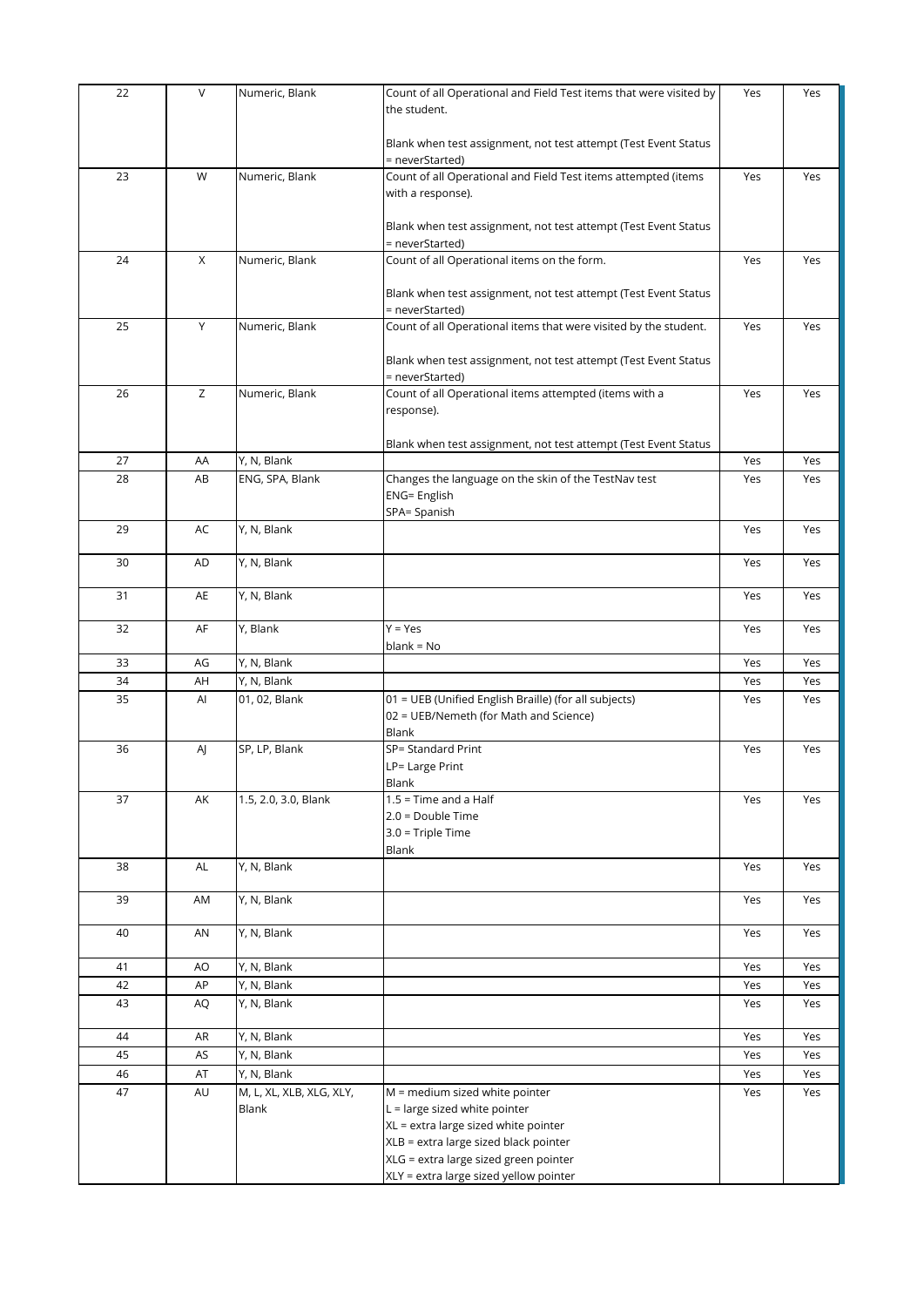| 22 | $\vee$ | Numeric, Blank           | Count of all Operational and Field Test items that were visited by                 | Yes | Yes |
|----|--------|--------------------------|------------------------------------------------------------------------------------|-----|-----|
|    |        |                          | the student.                                                                       |     |     |
|    |        |                          | Blank when test assignment, not test attempt (Test Event Status                    |     |     |
| 23 | W      | Numeric, Blank           | = neverStarted)<br>Count of all Operational and Field Test items attempted (items  | Yes | Yes |
|    |        |                          | with a response).                                                                  |     |     |
|    |        |                          |                                                                                    |     |     |
|    |        |                          | Blank when test assignment, not test attempt (Test Event Status<br>= neverStarted) |     |     |
| 24 | X      | Numeric, Blank           | Count of all Operational items on the form.                                        | Yes | Yes |
|    |        |                          |                                                                                    |     |     |
|    |        |                          | Blank when test assignment, not test attempt (Test Event Status<br>= neverStarted) |     |     |
| 25 | Υ      | Numeric, Blank           | Count of all Operational items that were visited by the student.                   | Yes | Yes |
|    |        |                          |                                                                                    |     |     |
|    |        |                          | Blank when test assignment, not test attempt (Test Event Status                    |     |     |
|    |        |                          | = neverStarted)                                                                    |     |     |
| 26 | Z      | Numeric, Blank           | Count of all Operational items attempted (items with a                             | Yes | Yes |
|    |        |                          | response).                                                                         |     |     |
|    |        |                          | Blank when test assignment, not test attempt (Test Event Status                    |     |     |
| 27 | AA     | Y, N, Blank              |                                                                                    | Yes | Yes |
| 28 | AB     | ENG, SPA, Blank          | Changes the language on the skin of the TestNav test                               | Yes | Yes |
|    |        |                          | <b>ENG= English</b>                                                                |     |     |
|    |        |                          | SPA= Spanish                                                                       |     |     |
| 29 | AC     | Y, N, Blank              |                                                                                    | Yes | Yes |
| 30 | AD     | Y, N, Blank              |                                                                                    | Yes | Yes |
|    |        |                          |                                                                                    |     |     |
| 31 | AE     | Y, N, Blank              |                                                                                    | Yes | Yes |
| 32 | AF     | Y, Blank                 | $Y = Yes$                                                                          | Yes | Yes |
|    |        |                          | $blank = No$                                                                       |     |     |
| 33 | AG     | Y, N, Blank              |                                                                                    | Yes | Yes |
| 34 | AH     | Y, N, Blank              |                                                                                    | Yes | Yes |
| 35 | Al     | 01, 02, Blank            | 01 = UEB (Unified English Braille) (for all subjects)                              | Yes | Yes |
|    |        |                          | 02 = UEB/Nemeth (for Math and Science)                                             |     |     |
|    |        |                          | Blank                                                                              |     |     |
| 36 | AJ     | SP, LP, Blank            | SP= Standard Print                                                                 | Yes | Yes |
|    |        |                          | LP= Large Print<br>Blank                                                           |     |     |
| 37 | AK     | 1.5, 2.0, 3.0, Blank     | $1.5$ = Time and a Half                                                            | Yes | Yes |
|    |        |                          | $2.0 = Double Time$                                                                |     |     |
|    |        |                          | $3.0$ = Triple Time                                                                |     |     |
|    |        |                          | Blank                                                                              |     |     |
| 38 | AL     | Y, N, Blank              |                                                                                    | Yes | Yes |
| 39 | AM     | Y, N, Blank              |                                                                                    | Yes | Yes |
|    |        |                          |                                                                                    |     |     |
| 40 | AN     | Y, N, Blank              |                                                                                    | Yes | Yes |
| 41 | AO     | Y, N, Blank              |                                                                                    | Yes | Yes |
| 42 | AP     | Y, N, Blank              |                                                                                    | Yes | Yes |
| 43 | AQ     | Y, N, Blank              |                                                                                    | Yes | Yes |
|    |        |                          |                                                                                    |     |     |
| 44 | AR     | Y, N, Blank              |                                                                                    | Yes | Yes |
| 45 | AS     | Y, N, Blank              |                                                                                    | Yes | Yes |
| 46 | AT     | Y, N, Blank              |                                                                                    | Yes | Yes |
| 47 | AU     | M, L, XL, XLB, XLG, XLY, | M = medium sized white pointer                                                     | Yes | Yes |
|    |        | Blank                    | $L =$ large sized white pointer                                                    |     |     |
|    |        |                          | XL = extra large sized white pointer                                               |     |     |
|    |        |                          | XLB = extra large sized black pointer<br>XLG = extra large sized green pointer     |     |     |
|    |        |                          | XLY = extra large sized yellow pointer                                             |     |     |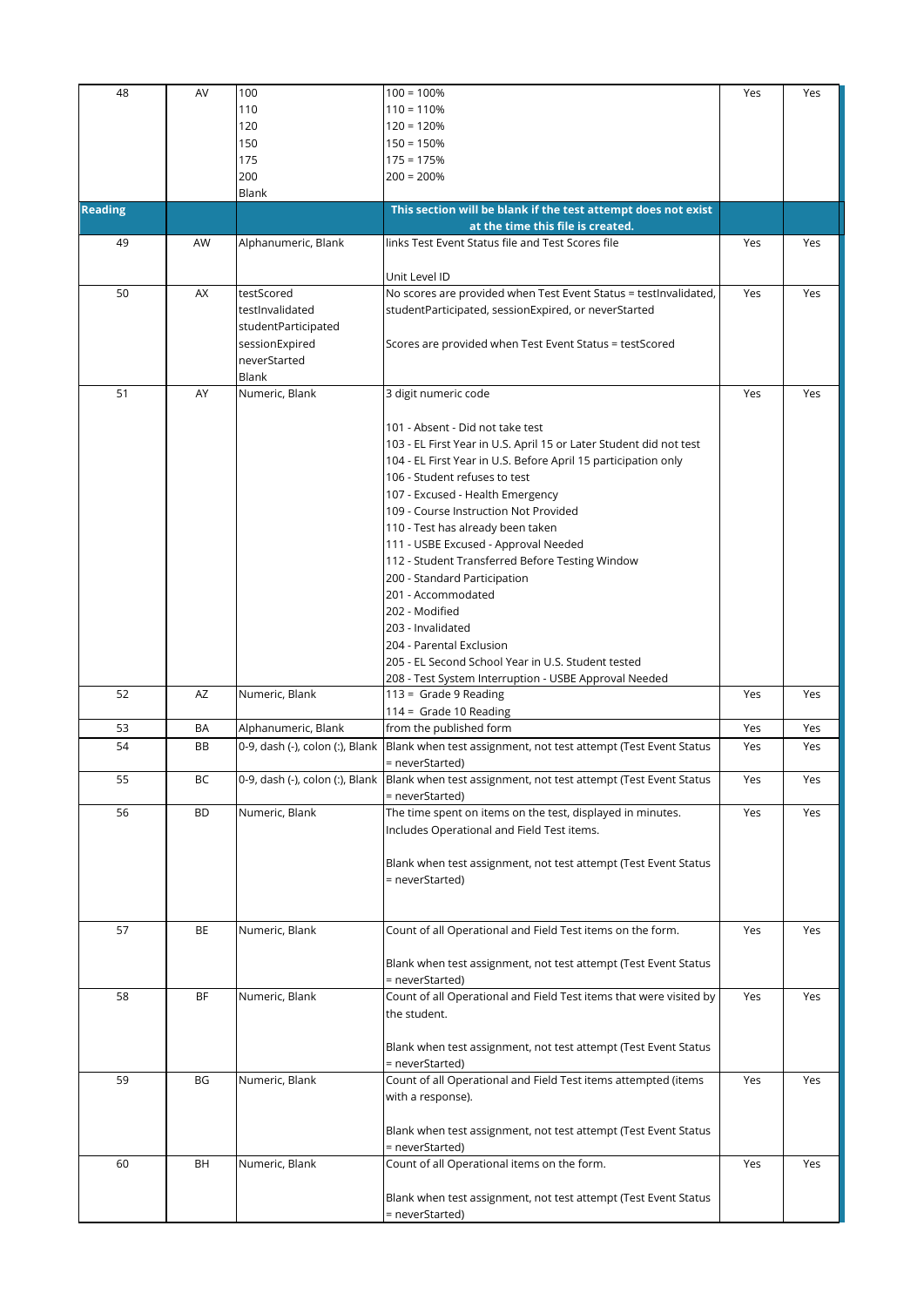| 48             | AV        | 100                             | $100 = 100%$                                                                                    | Yes | Yes |
|----------------|-----------|---------------------------------|-------------------------------------------------------------------------------------------------|-----|-----|
|                |           | 110                             | $110 = 110%$                                                                                    |     |     |
|                |           |                                 |                                                                                                 |     |     |
|                |           | 120                             | $120 = 120%$                                                                                    |     |     |
|                |           | 150                             | $150 = 150%$                                                                                    |     |     |
|                |           | 175                             | $175 = 175%$                                                                                    |     |     |
|                |           | 200                             | $200 = 200%$                                                                                    |     |     |
|                |           | Blank                           |                                                                                                 |     |     |
| <b>Reading</b> |           |                                 | This section will be blank if the test attempt does not exist                                   |     |     |
|                |           |                                 | at the time this file is created.                                                               |     |     |
| 49             | AW        | Alphanumeric, Blank             | links Test Event Status file and Test Scores file                                               | Yes | Yes |
|                |           |                                 |                                                                                                 |     |     |
|                |           |                                 | Unit Level ID                                                                                   |     |     |
| 50             | AX        | testScored                      | No scores are provided when Test Event Status = testInvalidated,                                | Yes | Yes |
|                |           | testInvalidated                 | studentParticipated, sessionExpired, or neverStarted                                            |     |     |
|                |           | studentParticipated             |                                                                                                 |     |     |
|                |           |                                 |                                                                                                 |     |     |
|                |           | sessionExpired                  | Scores are provided when Test Event Status = testScored                                         |     |     |
|                |           | neverStarted                    |                                                                                                 |     |     |
|                |           | Blank                           |                                                                                                 |     |     |
| 51             | AY        | Numeric, Blank                  | 3 digit numeric code                                                                            | Yes | Yes |
|                |           |                                 |                                                                                                 |     |     |
|                |           |                                 | 101 - Absent - Did not take test                                                                |     |     |
|                |           |                                 | 103 - EL First Year in U.S. April 15 or Later Student did not test                              |     |     |
|                |           |                                 | 104 - EL First Year in U.S. Before April 15 participation only                                  |     |     |
|                |           |                                 | 106 - Student refuses to test                                                                   |     |     |
|                |           |                                 | 107 - Excused - Health Emergency                                                                |     |     |
|                |           |                                 | 109 - Course Instruction Not Provided                                                           |     |     |
|                |           |                                 |                                                                                                 |     |     |
|                |           |                                 | 110 - Test has already been taken                                                               |     |     |
|                |           |                                 | 111 - USBE Excused - Approval Needed                                                            |     |     |
|                |           |                                 | 112 - Student Transferred Before Testing Window                                                 |     |     |
|                |           |                                 | 200 - Standard Participation                                                                    |     |     |
|                |           |                                 | 201 - Accommodated                                                                              |     |     |
|                |           |                                 | 202 - Modified                                                                                  |     |     |
|                |           |                                 | 203 - Invalidated                                                                               |     |     |
|                |           |                                 | 204 - Parental Exclusion                                                                        |     |     |
|                |           |                                 | 205 - EL Second School Year in U.S. Student tested                                              |     |     |
|                |           |                                 |                                                                                                 |     |     |
| 52             | AZ        | Numeric, Blank                  | 208 - Test System Interruption - USBE Approval Needed<br>$113 =$ Grade 9 Reading                | Yes | Yes |
|                |           |                                 |                                                                                                 |     |     |
|                |           |                                 | 114 = Grade 10 Reading                                                                          |     |     |
| 53             | BA        | Alphanumeric, Blank             | from the published form                                                                         | Yes | Yes |
| 54             | BB        | 0-9, dash (-), colon (:), Blank | Blank when test assignment, not test attempt (Test Event Status                                 | Yes | Yes |
|                |           |                                 | = neverStarted)                                                                                 |     |     |
| 55             | BC        |                                 | 0-9, dash (-), colon (:), Blank Blank when test assignment, not test attempt (Test Event Status | Yes | Yes |
|                |           |                                 | = neverStarted)                                                                                 |     |     |
| 56             | <b>BD</b> | Numeric, Blank                  | The time spent on items on the test, displayed in minutes.                                      | Yes | Yes |
|                |           |                                 | Includes Operational and Field Test items.                                                      |     |     |
|                |           |                                 |                                                                                                 |     |     |
|                |           |                                 | Blank when test assignment, not test attempt (Test Event Status                                 |     |     |
|                |           |                                 | = neverStarted)                                                                                 |     |     |
|                |           |                                 |                                                                                                 |     |     |
|                |           |                                 |                                                                                                 |     |     |
|                |           |                                 |                                                                                                 |     |     |
| 57             | ВE        | Numeric, Blank                  | Count of all Operational and Field Test items on the form.                                      | Yes | Yes |
|                |           |                                 |                                                                                                 |     |     |
|                |           |                                 | Blank when test assignment, not test attempt (Test Event Status                                 |     |     |
|                |           |                                 | = neverStarted)                                                                                 |     |     |
| 58             | ΒF        | Numeric, Blank                  | Count of all Operational and Field Test items that were visited by                              | Yes | Yes |
|                |           |                                 | the student.                                                                                    |     |     |
|                |           |                                 |                                                                                                 |     |     |
|                |           |                                 | Blank when test assignment, not test attempt (Test Event Status                                 |     |     |
|                |           |                                 | = neverStarted)                                                                                 |     |     |
| 59             | BG        | Numeric, Blank                  | Count of all Operational and Field Test items attempted (items                                  | Yes | Yes |
|                |           |                                 | with a response).                                                                               |     |     |
|                |           |                                 |                                                                                                 |     |     |
|                |           |                                 |                                                                                                 |     |     |
|                |           |                                 | Blank when test assignment, not test attempt (Test Event Status                                 |     |     |
|                |           |                                 | = neverStarted)                                                                                 |     |     |
| 60             | BH        | Numeric, Blank                  | Count of all Operational items on the form.                                                     | Yes | Yes |
|                |           |                                 |                                                                                                 |     |     |
|                |           |                                 | Blank when test assignment, not test attempt (Test Event Status                                 |     |     |
|                |           |                                 | = neverStarted)                                                                                 |     |     |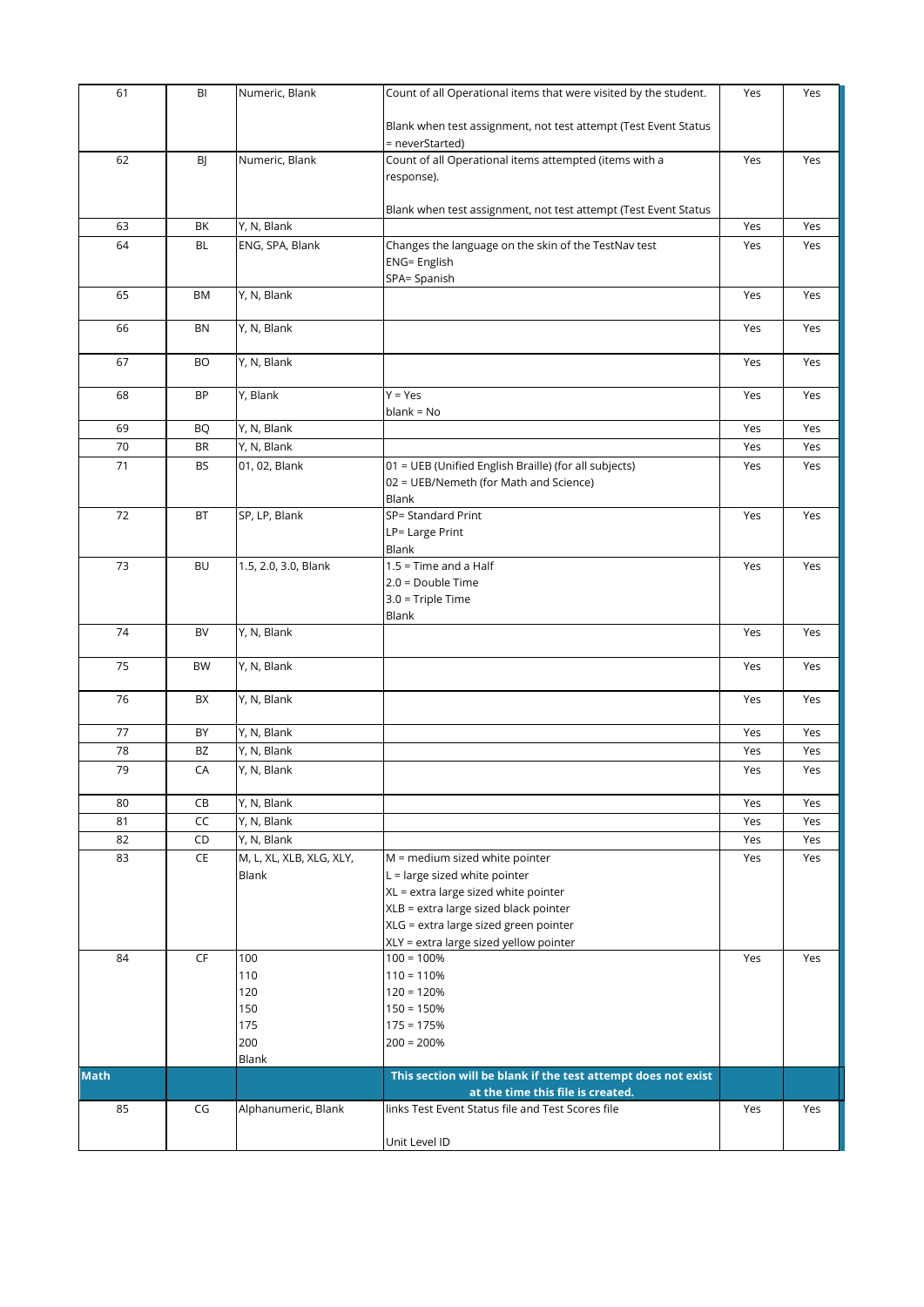| 61          | BI        | Numeric, Blank             | Count of all Operational items that were visited by the student.          | Yes        | Yes        |
|-------------|-----------|----------------------------|---------------------------------------------------------------------------|------------|------------|
|             |           |                            |                                                                           |            |            |
|             |           |                            | Blank when test assignment, not test attempt (Test Event Status           |            |            |
| 62          |           |                            | = neverStarted)<br>Count of all Operational items attempted (items with a |            |            |
|             | BJ        | Numeric, Blank             | response).                                                                | Yes        | Yes        |
|             |           |                            |                                                                           |            |            |
|             |           |                            | Blank when test assignment, not test attempt (Test Event Status           |            |            |
| 63          | BK        | Y, N, Blank                |                                                                           | Yes        | Yes        |
| 64          | <b>BL</b> | ENG, SPA, Blank            | Changes the language on the skin of the TestNav test                      | Yes        | Yes        |
|             |           |                            | <b>ENG= English</b>                                                       |            |            |
|             |           |                            | SPA= Spanish                                                              |            |            |
| 65          | <b>BM</b> | Y, N, Blank                |                                                                           | Yes        | Yes        |
| 66          | BN        | Y, N, Blank                |                                                                           | Yes        | Yes        |
|             |           |                            |                                                                           |            |            |
| 67          | <b>BO</b> | Y, N, Blank                |                                                                           | Yes        | Yes        |
|             |           |                            |                                                                           |            |            |
| 68          | BP        | Y, Blank                   | $Y = Yes$                                                                 | Yes        | Yes        |
|             |           |                            | $blank = No$                                                              |            |            |
| 69          | <b>BQ</b> | Y, N, Blank                |                                                                           | Yes        | Yes        |
| 70          | <b>BR</b> | Y, N, Blank                |                                                                           | Yes        | Yes        |
| 71          | BS        | 01, 02, Blank              | 01 = UEB (Unified English Braille) (for all subjects)                     | Yes        | Yes        |
|             |           |                            | 02 = UEB/Nemeth (for Math and Science)<br>Blank                           |            |            |
| 72          | BT        | SP, LP, Blank              | SP= Standard Print                                                        | Yes        | Yes        |
|             |           |                            | LP= Large Print                                                           |            |            |
|             |           |                            | Blank                                                                     |            |            |
| 73          | <b>BU</b> | 1.5, 2.0, 3.0, Blank       | $1.5$ = Time and a Half                                                   | Yes        | Yes        |
|             |           |                            | 2.0 = Double Time                                                         |            |            |
|             |           |                            | $3.0$ = Triple Time                                                       |            |            |
|             |           |                            | Blank                                                                     |            |            |
| 74          | BV        | Y, N, Blank                |                                                                           | Yes        | Yes        |
| 75          | BW        | Y, N, Blank                |                                                                           | Yes        | Yes        |
|             |           |                            |                                                                           |            |            |
| 76          | BX        | Y, N, Blank                |                                                                           | Yes        | Yes        |
|             |           |                            |                                                                           |            |            |
| 77          | BY        | Y, N, Blank                |                                                                           | Yes        | Yes        |
| 78          | BZ        | Y, N, Blank                |                                                                           | Yes        | Yes        |
| 79          | CA        | Y, N, Blank                |                                                                           | Yes        | Yes        |
|             |           |                            |                                                                           |            |            |
| 80<br>81    | СB<br>CC  | Y, N, Blank<br>Y, N, Blank |                                                                           | Yes        | Yes<br>Yes |
| 82          | CD        | Y, N, Blank                |                                                                           | Yes<br>Yes | Yes        |
| 83          | CE        | M, L, XL, XLB, XLG, XLY,   | M = medium sized white pointer                                            | Yes        | Yes        |
|             |           | Blank                      | $L =$ large sized white pointer                                           |            |            |
|             |           |                            | XL = extra large sized white pointer                                      |            |            |
|             |           |                            | XLB = extra large sized black pointer                                     |            |            |
|             |           |                            | XLG = extra large sized green pointer                                     |            |            |
|             |           |                            | XLY = extra large sized yellow pointer                                    |            |            |
| 84          | <b>CF</b> | 100                        | $100 = 100%$                                                              | Yes        | Yes        |
|             |           | 110                        | $110 = 110%$                                                              |            |            |
|             |           | 120                        | $120 = 120%$                                                              |            |            |
|             |           | 150<br>175                 | $150 = 150%$<br>$175 = 175%$                                              |            |            |
|             |           | 200                        | $200 = 200%$                                                              |            |            |
|             |           | Blank                      |                                                                           |            |            |
| <b>Math</b> |           |                            | This section will be blank if the test attempt does not exist             |            |            |
|             |           |                            | at the time this file is created.                                         |            |            |
| 85          | CG        | Alphanumeric, Blank        | links Test Event Status file and Test Scores file                         | Yes        | Yes        |
|             |           |                            |                                                                           |            |            |
|             |           |                            | Unit Level ID                                                             |            |            |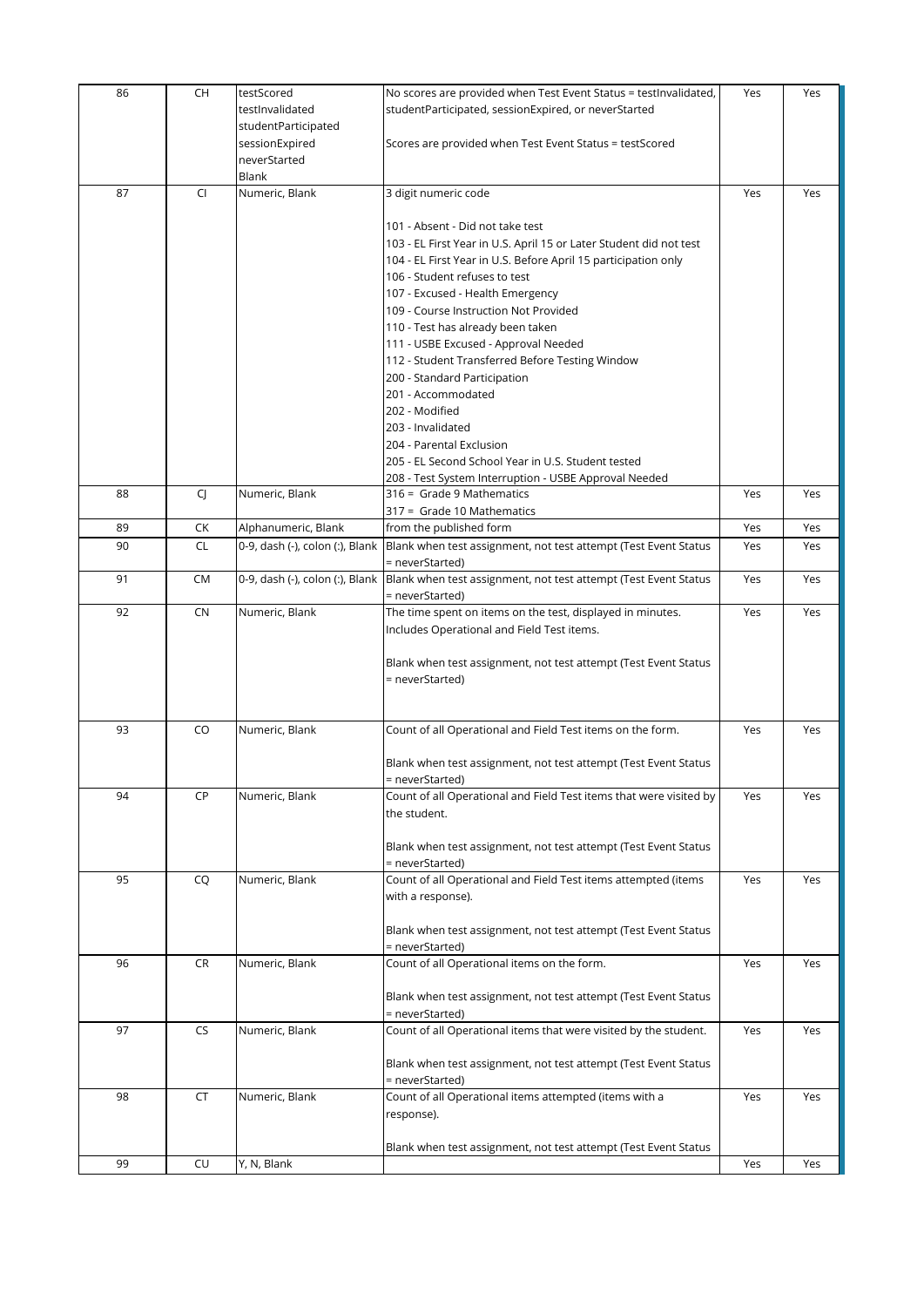| studentParticipated<br>sessionExpired<br>Scores are provided when Test Event Status = testScored<br>neverStarted<br>Blank<br>87<br>Numeric, Blank<br>3 digit numeric code<br>CI<br>Yes<br>101 - Absent - Did not take test<br>103 - EL First Year in U.S. April 15 or Later Student did not test<br>104 - EL First Year in U.S. Before April 15 participation only<br>106 - Student refuses to test<br>107 - Excused - Health Emergency<br>109 - Course Instruction Not Provided | Yes |
|----------------------------------------------------------------------------------------------------------------------------------------------------------------------------------------------------------------------------------------------------------------------------------------------------------------------------------------------------------------------------------------------------------------------------------------------------------------------------------|-----|
|                                                                                                                                                                                                                                                                                                                                                                                                                                                                                  |     |
|                                                                                                                                                                                                                                                                                                                                                                                                                                                                                  |     |
|                                                                                                                                                                                                                                                                                                                                                                                                                                                                                  |     |
|                                                                                                                                                                                                                                                                                                                                                                                                                                                                                  |     |
|                                                                                                                                                                                                                                                                                                                                                                                                                                                                                  |     |
|                                                                                                                                                                                                                                                                                                                                                                                                                                                                                  |     |
|                                                                                                                                                                                                                                                                                                                                                                                                                                                                                  |     |
|                                                                                                                                                                                                                                                                                                                                                                                                                                                                                  |     |
|                                                                                                                                                                                                                                                                                                                                                                                                                                                                                  |     |
|                                                                                                                                                                                                                                                                                                                                                                                                                                                                                  |     |
| 110 - Test has already been taken                                                                                                                                                                                                                                                                                                                                                                                                                                                |     |
| 111 - USBE Excused - Approval Needed                                                                                                                                                                                                                                                                                                                                                                                                                                             |     |
| 112 - Student Transferred Before Testing Window                                                                                                                                                                                                                                                                                                                                                                                                                                  |     |
| 200 - Standard Participation                                                                                                                                                                                                                                                                                                                                                                                                                                                     |     |
| 201 - Accommodated<br>202 - Modified                                                                                                                                                                                                                                                                                                                                                                                                                                             |     |
| 203 - Invalidated                                                                                                                                                                                                                                                                                                                                                                                                                                                                |     |
| 204 - Parental Exclusion                                                                                                                                                                                                                                                                                                                                                                                                                                                         |     |
| 205 - EL Second School Year in U.S. Student tested                                                                                                                                                                                                                                                                                                                                                                                                                               |     |
| 208 - Test System Interruption - USBE Approval Needed                                                                                                                                                                                                                                                                                                                                                                                                                            |     |
| Numeric, Blank<br>316 = Grade 9 Mathematics<br>88<br>CJ.<br>Yes                                                                                                                                                                                                                                                                                                                                                                                                                  | Yes |
| 317 = Grade 10 Mathematics                                                                                                                                                                                                                                                                                                                                                                                                                                                       |     |
| CK<br>Alphanumeric, Blank<br>from the published form<br>Yes<br>89                                                                                                                                                                                                                                                                                                                                                                                                                | Yes |
| 90<br>CL<br>0-9, dash (-), colon (:), Blank<br>Yes<br>Blank when test assignment, not test attempt (Test Event Status<br>= neverStarted)                                                                                                                                                                                                                                                                                                                                         | Yes |
| Yes<br>91<br>CM<br>0-9, dash (-), colon (:), Blank<br>Blank when test assignment, not test attempt (Test Event Status                                                                                                                                                                                                                                                                                                                                                            | Yes |
| = neverStarted)                                                                                                                                                                                                                                                                                                                                                                                                                                                                  |     |
| 92<br>Numeric, Blank<br>CN<br>The time spent on items on the test, displayed in minutes.<br>Yes                                                                                                                                                                                                                                                                                                                                                                                  | Yes |
| Includes Operational and Field Test items.                                                                                                                                                                                                                                                                                                                                                                                                                                       |     |
| Blank when test assignment, not test attempt (Test Event Status                                                                                                                                                                                                                                                                                                                                                                                                                  |     |
| = neverStarted)                                                                                                                                                                                                                                                                                                                                                                                                                                                                  |     |
|                                                                                                                                                                                                                                                                                                                                                                                                                                                                                  |     |
|                                                                                                                                                                                                                                                                                                                                                                                                                                                                                  |     |
| 93<br>Numeric, Blank<br>Count of all Operational and Field Test items on the form.<br>CO<br>Yes                                                                                                                                                                                                                                                                                                                                                                                  | Yes |
|                                                                                                                                                                                                                                                                                                                                                                                                                                                                                  |     |
| Blank when test assignment, not test attempt (Test Event Status<br>= neverStarted)                                                                                                                                                                                                                                                                                                                                                                                               |     |
| CP<br>Numeric, Blank<br>Count of all Operational and Field Test items that were visited by<br>94<br>Yes                                                                                                                                                                                                                                                                                                                                                                          | Yes |
| the student.                                                                                                                                                                                                                                                                                                                                                                                                                                                                     |     |
|                                                                                                                                                                                                                                                                                                                                                                                                                                                                                  |     |
| Blank when test assignment, not test attempt (Test Event Status                                                                                                                                                                                                                                                                                                                                                                                                                  |     |
| = neverStarted)                                                                                                                                                                                                                                                                                                                                                                                                                                                                  |     |
| 95<br>Numeric, Blank<br>Count of all Operational and Field Test items attempted (items<br>Yes<br>CQ<br>with a response).                                                                                                                                                                                                                                                                                                                                                         | Yes |
|                                                                                                                                                                                                                                                                                                                                                                                                                                                                                  |     |
| Blank when test assignment, not test attempt (Test Event Status                                                                                                                                                                                                                                                                                                                                                                                                                  |     |
| = neverStarted)                                                                                                                                                                                                                                                                                                                                                                                                                                                                  |     |
| <b>CR</b><br>Numeric, Blank<br>Count of all Operational items on the form.<br>96<br>Yes                                                                                                                                                                                                                                                                                                                                                                                          | Yes |
|                                                                                                                                                                                                                                                                                                                                                                                                                                                                                  |     |
| Blank when test assignment, not test attempt (Test Event Status                                                                                                                                                                                                                                                                                                                                                                                                                  |     |
| = neverStarted)<br>Count of all Operational items that were visited by the student.<br>97<br><b>CS</b><br>Numeric, Blank<br>Yes                                                                                                                                                                                                                                                                                                                                                  | Yes |
|                                                                                                                                                                                                                                                                                                                                                                                                                                                                                  |     |
| Blank when test assignment, not test attempt (Test Event Status                                                                                                                                                                                                                                                                                                                                                                                                                  |     |
| = neverStarted)                                                                                                                                                                                                                                                                                                                                                                                                                                                                  |     |
| Count of all Operational items attempted (items with a<br>Numeric, Blank<br>98<br>CT<br>Yes                                                                                                                                                                                                                                                                                                                                                                                      | Yes |
| response).                                                                                                                                                                                                                                                                                                                                                                                                                                                                       |     |
| Blank when test assignment, not test attempt (Test Event Status                                                                                                                                                                                                                                                                                                                                                                                                                  |     |
| 99<br>CU<br>Y, N, Blank<br>Yes                                                                                                                                                                                                                                                                                                                                                                                                                                                   |     |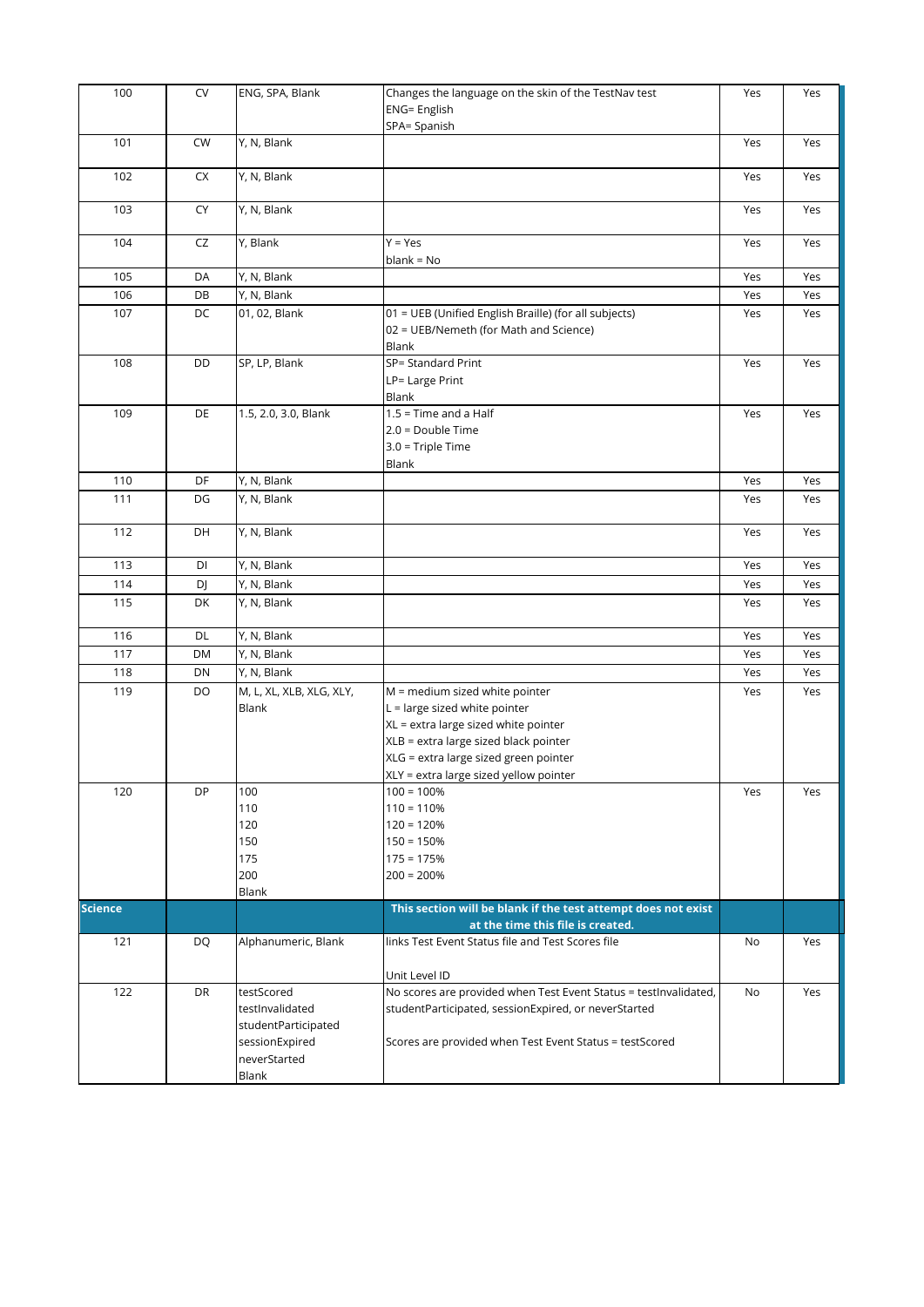| 100            | <b>CV</b> | ENG, SPA, Blank                                                                                 | Changes the language on the skin of the TestNav test<br><b>ENG= English</b><br>SPA= Spanish                                                                                                                                           | Yes | Yes |
|----------------|-----------|-------------------------------------------------------------------------------------------------|---------------------------------------------------------------------------------------------------------------------------------------------------------------------------------------------------------------------------------------|-----|-----|
| 101            | CW        | Y, N, Blank                                                                                     |                                                                                                                                                                                                                                       | Yes | Yes |
| 102            | CX        | Y, N, Blank                                                                                     |                                                                                                                                                                                                                                       | Yes | Yes |
| 103            | CY        | Y, N, Blank                                                                                     |                                                                                                                                                                                                                                       | Yes | Yes |
| 104            | CZ        | Y, Blank                                                                                        | $Y = Yes$<br>$blank = No$                                                                                                                                                                                                             | Yes | Yes |
| 105            | DA        | Y, N, Blank                                                                                     |                                                                                                                                                                                                                                       | Yes | Yes |
| 106            | DB        | Y, N, Blank                                                                                     |                                                                                                                                                                                                                                       | Yes | Yes |
| 107            | DC        | 01, 02, Blank                                                                                   | 01 = UEB (Unified English Braille) (for all subjects)<br>02 = UEB/Nemeth (for Math and Science)<br>Blank                                                                                                                              | Yes | Yes |
| 108            | DD        | SP, LP, Blank                                                                                   | SP= Standard Print<br>LP= Large Print<br>Blank                                                                                                                                                                                        | Yes | Yes |
| 109            | DE        | 1.5, 2.0, 3.0, Blank                                                                            | $1.5$ = Time and a Half<br>$2.0 = Double Time$<br>$3.0$ = Triple Time<br>Blank                                                                                                                                                        | Yes | Yes |
| 110            | DF        | Y, N, Blank                                                                                     |                                                                                                                                                                                                                                       | Yes | Yes |
| 111            | DG        | Y, N, Blank                                                                                     |                                                                                                                                                                                                                                       | Yes | Yes |
| 112            | DH        | Y, N, Blank                                                                                     |                                                                                                                                                                                                                                       | Yes | Yes |
| 113            | DI        | Y, N, Blank                                                                                     |                                                                                                                                                                                                                                       | Yes | Yes |
| 114            | DJ        | Y, N, Blank                                                                                     |                                                                                                                                                                                                                                       | Yes | Yes |
| 115            | DK        | Y, N, Blank                                                                                     |                                                                                                                                                                                                                                       | Yes | Yes |
| 116            | DL        | Y, N, Blank                                                                                     |                                                                                                                                                                                                                                       | Yes | Yes |
| 117            | DM        | Y, N, Blank                                                                                     |                                                                                                                                                                                                                                       | Yes | Yes |
| 118            | DN        | Y, N, Blank                                                                                     |                                                                                                                                                                                                                                       | Yes | Yes |
| 119            | DO        | $\overline{M, L}$ , XL, XLB, XLG, XLY,<br>Blank                                                 | M = medium sized white pointer<br>$L =$ large sized white pointer<br>XL = extra large sized white pointer<br>XLB = extra large sized black pointer<br>XLG = extra large sized green pointer<br>XLY = extra large sized yellow pointer | Yes | Yes |
| 120            | DP        | 100<br>110<br>120<br>150<br>175<br>200<br>Blank                                                 | $100 = 100%$<br>$110 = 110%$<br>$120 = 120%$<br>$150 = 150%$<br>$175 = 175%$<br>$200 = 200%$                                                                                                                                          | Yes | Yes |
| <b>Science</b> |           |                                                                                                 | This section will be blank if the test attempt does not exist                                                                                                                                                                         |     |     |
|                |           |                                                                                                 | at the time this file is created.                                                                                                                                                                                                     |     |     |
| 121            | DQ        | Alphanumeric, Blank                                                                             | links Test Event Status file and Test Scores file<br>Unit Level ID                                                                                                                                                                    | No  | Yes |
| 122            | <b>DR</b> | testScored<br>testInvalidated<br>studentParticipated<br>sessionExpired<br>neverStarted<br>Blank | No scores are provided when Test Event Status = testInvalidated,<br>studentParticipated, sessionExpired, or neverStarted<br>Scores are provided when Test Event Status = testScored                                                   | No  | Yes |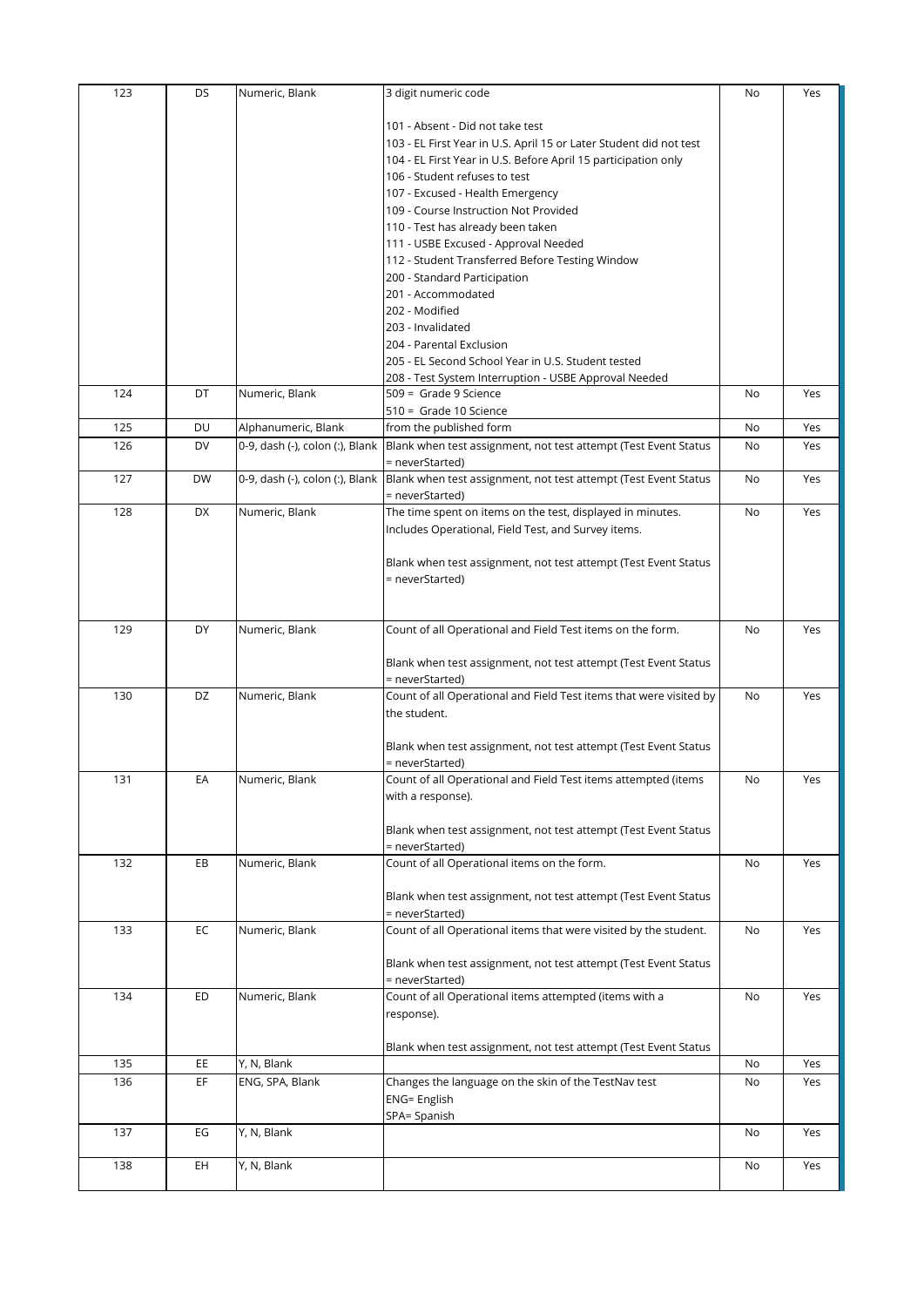| 123 | DS        | Numeric, Blank                  | 3 digit numeric code                                                                             | No | Yes |
|-----|-----------|---------------------------------|--------------------------------------------------------------------------------------------------|----|-----|
|     |           |                                 | 101 - Absent - Did not take test                                                                 |    |     |
|     |           |                                 | 103 - EL First Year in U.S. April 15 or Later Student did not test                               |    |     |
|     |           |                                 | 104 - EL First Year in U.S. Before April 15 participation only                                   |    |     |
|     |           |                                 | 106 - Student refuses to test                                                                    |    |     |
|     |           |                                 | 107 - Excused - Health Emergency                                                                 |    |     |
|     |           |                                 | 109 - Course Instruction Not Provided                                                            |    |     |
|     |           |                                 |                                                                                                  |    |     |
|     |           |                                 | 110 - Test has already been taken                                                                |    |     |
|     |           |                                 | 111 - USBE Excused - Approval Needed                                                             |    |     |
|     |           |                                 | 112 - Student Transferred Before Testing Window                                                  |    |     |
|     |           |                                 | 200 - Standard Participation                                                                     |    |     |
|     |           |                                 | 201 - Accommodated                                                                               |    |     |
|     |           |                                 | 202 - Modified                                                                                   |    |     |
|     |           |                                 | 203 - Invalidated                                                                                |    |     |
|     |           |                                 | 204 - Parental Exclusion                                                                         |    |     |
|     |           |                                 | 205 - EL Second School Year in U.S. Student tested                                               |    |     |
|     |           |                                 | 208 - Test System Interruption - USBE Approval Needed                                            |    |     |
| 124 | DT        | Numeric, Blank                  | 509 = Grade 9 Science                                                                            | No | Yes |
|     |           |                                 | 510 = Grade 10 Science                                                                           |    |     |
| 125 | DU        | Alphanumeric, Blank             | from the published form                                                                          | No | Yes |
| 126 | DV        | 0-9, dash (-), colon (:), Blank | Blank when test assignment, not test attempt (Test Event Status                                  | No | Yes |
|     |           |                                 | = neverStarted)                                                                                  |    |     |
| 127 | <b>DW</b> |                                 | 0-9, dash (-), colon (:), Blank  Blank when test assignment, not test attempt (Test Event Status | No | Yes |
|     |           |                                 | = neverStarted)                                                                                  |    |     |
| 128 | DX        | Numeric, Blank                  | The time spent on items on the test, displayed in minutes.                                       | No | Yes |
|     |           |                                 | Includes Operational, Field Test, and Survey items.                                              |    |     |
|     |           |                                 |                                                                                                  |    |     |
|     |           |                                 | Blank when test assignment, not test attempt (Test Event Status                                  |    |     |
|     |           |                                 | = neverStarted)                                                                                  |    |     |
|     |           |                                 |                                                                                                  |    |     |
|     |           |                                 |                                                                                                  |    |     |
| 129 | DY        | Numeric, Blank                  | Count of all Operational and Field Test items on the form.                                       | No | Yes |
|     |           |                                 |                                                                                                  |    |     |
|     |           |                                 | Blank when test assignment, not test attempt (Test Event Status                                  |    |     |
|     |           |                                 | = neverStarted)                                                                                  |    |     |
| 130 | DZ        | Numeric, Blank                  | Count of all Operational and Field Test items that were visited by                               | No | Yes |
|     |           |                                 | the student.                                                                                     |    |     |
|     |           |                                 |                                                                                                  |    |     |
|     |           |                                 | Blank when test assignment, not test attempt (Test Event Status                                  |    |     |
|     |           |                                 | = neverStarted)                                                                                  |    |     |
| 131 | ЕA        | Numeric, Blank                  | Count of all Operational and Field Test items attempted (items                                   | N0 | Yes |
|     |           |                                 | with a response).                                                                                |    |     |
|     |           |                                 |                                                                                                  |    |     |
|     |           |                                 | Blank when test assignment, not test attempt (Test Event Status                                  |    |     |
|     |           |                                 | = neverStarted)                                                                                  |    |     |
| 132 | EB        | Numeric, Blank                  | Count of all Operational items on the form.                                                      | No | Yes |
|     |           |                                 |                                                                                                  |    |     |
|     |           |                                 | Blank when test assignment, not test attempt (Test Event Status                                  |    |     |
|     |           |                                 | = neverStarted)                                                                                  |    |     |
| 133 | EC        | Numeric, Blank                  | Count of all Operational items that were visited by the student.                                 | No | Yes |
|     |           |                                 |                                                                                                  |    |     |
|     |           |                                 | Blank when test assignment, not test attempt (Test Event Status                                  |    |     |
|     |           |                                 | = neverStarted)                                                                                  |    |     |
| 134 | ED        | Numeric, Blank                  | Count of all Operational items attempted (items with a                                           | No | Yes |
|     |           |                                 | response).                                                                                       |    |     |
|     |           |                                 |                                                                                                  |    |     |
|     |           |                                 | Blank when test assignment, not test attempt (Test Event Status                                  |    |     |
| 135 | EE        | Y, N, Blank                     |                                                                                                  | No | Yes |
| 136 | EF        | ENG, SPA, Blank                 |                                                                                                  |    | Yes |
|     |           |                                 | Changes the language on the skin of the TestNav test                                             | No |     |
|     |           |                                 |                                                                                                  |    |     |
|     |           |                                 | <b>ENG= English</b>                                                                              |    |     |
|     |           |                                 | SPA= Spanish                                                                                     |    |     |
| 137 | EG        | Y, N, Blank                     |                                                                                                  | No | Yes |
| 138 | EH        | Y, N, Blank                     |                                                                                                  | No | Yes |